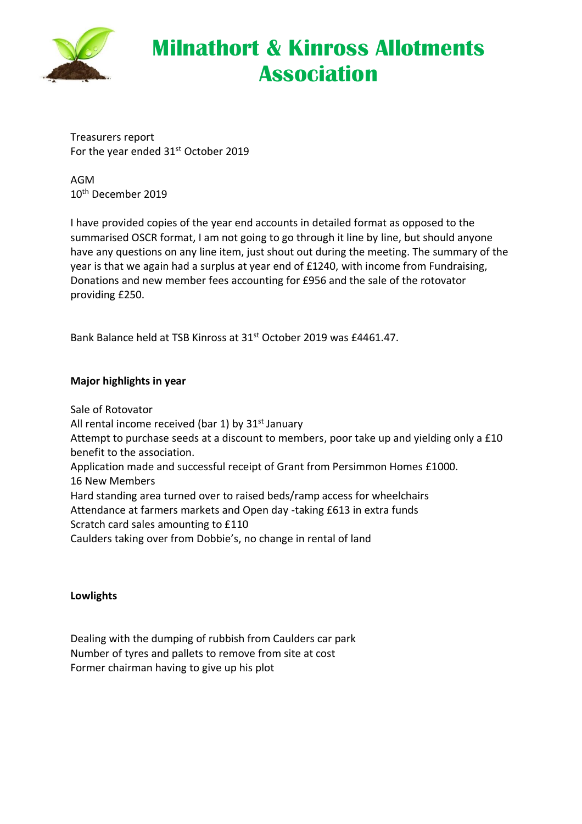

# **Milnathort & Kinross Allotments Association**

Treasurers report For the year ended 31<sup>st</sup> October 2019

AGM 10th December 2019

I have provided copies of the year end accounts in detailed format as opposed to the summarised OSCR format, I am not going to go through it line by line, but should anyone have any questions on any line item, just shout out during the meeting. The summary of the year is that we again had a surplus at year end of £1240, with income from Fundraising, Donations and new member fees accounting for £956 and the sale of the rotovator providing £250.

Bank Balance held at TSB Kinross at 31st October 2019 was £4461.47.

## **Major highlights in year**

Sale of Rotovator All rental income received (bar 1) by  $31<sup>st</sup>$  January Attempt to purchase seeds at a discount to members, poor take up and yielding only a £10 benefit to the association. Application made and successful receipt of Grant from Persimmon Homes £1000. 16 New Members Hard standing area turned over to raised beds/ramp access for wheelchairs Attendance at farmers markets and Open day -taking £613 in extra funds Scratch card sales amounting to £110 Caulders taking over from Dobbie's, no change in rental of land

#### **Lowlights**

Dealing with the dumping of rubbish from Caulders car park Number of tyres and pallets to remove from site at cost Former chairman having to give up his plot